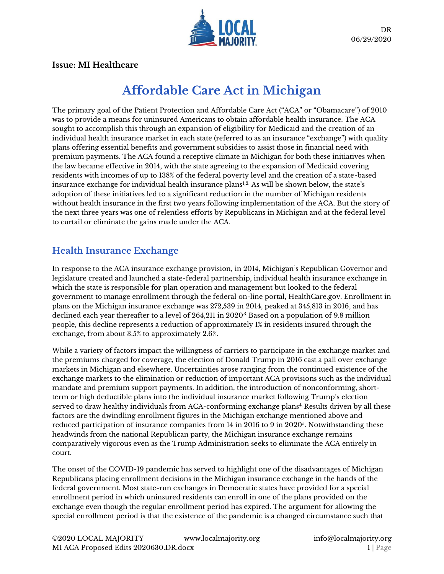

### **Issue: MI Healthcare**

# **Affordable Care Act in Michigan**

The primary goal of the Patient Protection and Affordable Care Act ("ACA" or "Obamacare") of 2010 was to provide a means for uninsured Americans to obtain affordable health insurance. The ACA sought to accomplish this through an expansion of eligibility for Medicaid and the creation of an individual health insurance market in each state (referred to as an insurance "exchange") with quality plans offering essential benefits and government subsidies to assist those in financial need with premium payments. The ACA found a receptive climate in Michigan for both these initiatives when the law became effective in 2014, with the state agreeing to the expansion of Medicaid covering residents with incomes of up to 138% of the federal poverty level and the creation of a state-based insurance exchange for individual health insurance plans $1,2$ . As will be shown below, the state's adoption of these initiatives led to a significant reduction in the number of Michigan residents without health insurance in the first two years following implementation of the ACA. But the story of the next three years was one of relentless efforts by Republicans in Michigan and at the federal level to curtail or eliminate the gains made under the ACA.

# **Health Insurance Exchange**

In response to the ACA insurance exchange provision, in 2014, Michigan's Republican Governor and legislature created and launched a state-federal partnership, individual health insurance exchange in which the state is responsible for plan operation and management but looked to the federal government to manage enrollment through the federal on-line portal, HealthCare.gov. Enrollment in plans on the Michigan insurance exchange was 272,539 in 2014, peaked at 345,813 in 2016, and has declined each year thereafter to a level of 264,211 in 20203. Based on a population of 9.8 million people, this decline represents a reduction of approximately 1% in residents insured through the exchange, from about 3.5% to approximately 2.6%.

While a variety of factors impact the willingness of carriers to participate in the exchange market and the premiums charged for coverage, the election of Donald Trump in 2016 cast a pall over exchange markets in Michigan and elsewhere. Uncertainties arose ranging from the continued existence of the exchange markets to the elimination or reduction of important ACA provisions such as the individual mandate and premium support payments. In addition, the introduction of nonconforming, shortterm or high deductible plans into the individual insurance market following Trump's election served to draw healthy individuals from ACA-conforming exchange plans<sup>4</sup> Results driven by all these factors are the dwindling enrollment figures in the Michigan exchange mentioned above and reduced participation of insurance companies from 14 in 2016 to 9 in 2020 $^5$ . Notwithstanding these headwinds from the national Republican party, the Michigan insurance exchange remains comparatively vigorous even as the Trump Administration seeks to eliminate the ACA entirely in court.

The onset of the COVID-19 pandemic has served to highlight one of the disadvantages of Michigan Republicans placing enrollment decisions in the Michigan insurance exchange in the hands of the federal government. Most state-run exchanges in Democratic states have provided for a special enrollment period in which uninsured residents can enroll in one of the plans provided on the exchange even though the regular enrollment period has expired. The argument for allowing the special enrollment period is that the existence of the pandemic is a changed circumstance such that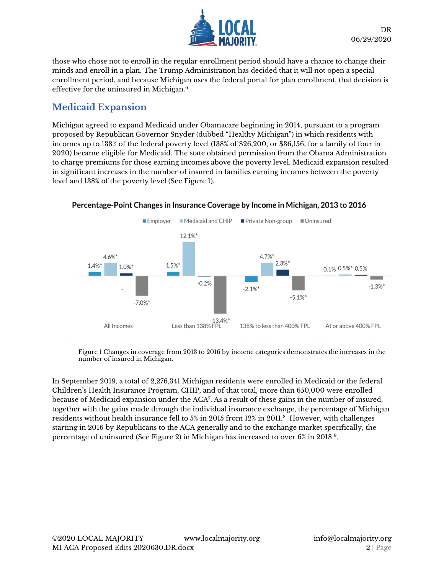

those who chose not to enroll in the regular enrollment period should have a chance to change their minds and enroll in a plan. The Trump Administration has decided that it will not open a special enrollment period, and because Michigan uses the federal portal for plan enrollment, that decision is effective for the uninsured in Michigan.<sup>6</sup>

# **Medicaid Expansion**

Michigan agreed to expand Medicaid under Obamacare beginning in 2014, pursuant to a program proposed by Republican Governor Snyder (dubbed "Healthy Michigan") in which residents with incomes up to 138% of the federal poverty level (138% of \$26,200, or \$36,156, for a family of four in 2020) became eligible for Medicaid. The state obtained permission from the Obama Administration to charge premiums for those earning incomes above the poverty level. Medicaid expansion resulted in significant increases in the number of insured in families earning incomes between the poverty level and 138% of the poverty level (See Figure 1).



#### Percentage-Point Changes in Insurance Coverage by Income in Michigan, 2013 to 2016

Figure 1 Changes in coverage from 2013 to 2016 by income categories demonstrates the increases in the number of insured in Michigan.

In September 2019, a total of 2,276,341 Michigan residents were enrolled in Medicaid or the federal Children's Health Insurance Program, CHIP, and of that total, more than 650,000 were enrolled because of Medicaid expansion under the ACA<sup>7</sup> . As a result of these gains in the number of insured, together with the gains made through the individual insurance exchange, the percentage of Michigan residents without health insurance fell to 5% in 2015 from 12% in 2011.<sup>8</sup> However, with challenges starting in 2016 by Republicans to the ACA generally and to the exchange market specifically, the percentage of uninsured (See Figure 2) in Michigan has increased to over 6% in 2018 <sup>9</sup> .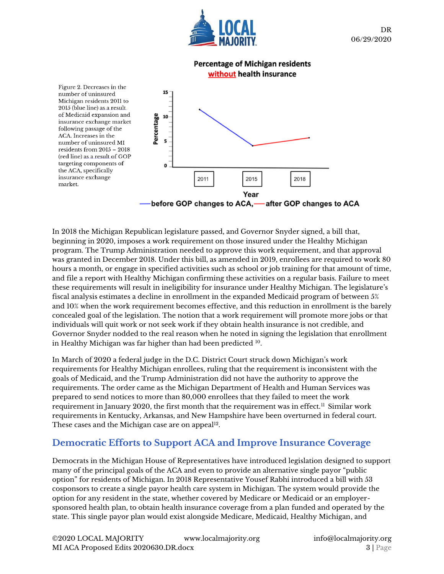

#### **Percentage of Michigan residents** without health insurance



In 2018 the Michigan Republican legislature passed, and Governor Snyder signed, a bill that, beginning in 2020, imposes a work requirement on those insured under the Healthy Michigan program. The Trump Administration needed to approve this work requirement, and that approval was granted in December 2018. Under this bill, as amended in 2019, enrollees are required to work 80 hours a month, or engage in specified activities such as school or job training for that amount of time, and file a report with Healthy Michigan confirming these activities on a regular basis. Failure to meet these requirements will result in ineligibility for insurance under Healthy Michigan. The legislature's fiscal analysis estimates a decline in enrollment in the expanded Medicaid program of between 5% and 10% when the work requirement becomes effective, and this reduction in enrollment is the barely concealed goal of the legislation. The notion that a work requirement will promote more jobs or that individuals will quit work or not seek work if they obtain health insurance is not credible, and Governor Snyder nodded to the real reason when he noted in signing the legislation that enrollment in Healthy Michigan was far higher than had been predicted <sup>10</sup>.

In March of 2020 a federal judge in the D.C. District Court struck down Michigan's work requirements for Healthy Michigan enrollees, ruling that the requirement is inconsistent with the goals of Medicaid, and the Trump Administration did not have the authority to approve the requirements. The order came as the Michigan Department of Health and Human Services was prepared to send notices to more than 80,000 enrollees that they failed to meet the work requirement in January 2020, the first month that the requirement was in effect.<sup>11</sup> Similar work requirements in Kentucky, Arkansas, and New Hampshire have been overturned in federal court. These cases and the Michigan case are on appeal $^{12}$ .

## **Democratic Efforts to Support ACA and Improve Insurance Coverage**

Democrats in the Michigan House of Representatives have introduced legislation designed to support many of the principal goals of the ACA and even to provide an alternative single payor "public option" for residents of Michigan. In 2018 Representative Yousef Rabhi introduced a bill with 53 cosponsors to create a single payor health care system in Michigan. The system would provide the option for any resident in the state, whether covered by Medicare or Medicaid or an employersponsored health plan, to obtain health insurance coverage from a plan funded and operated by the state. This single payor plan would exist alongside Medicare, Medicaid, Healthy Michigan, and